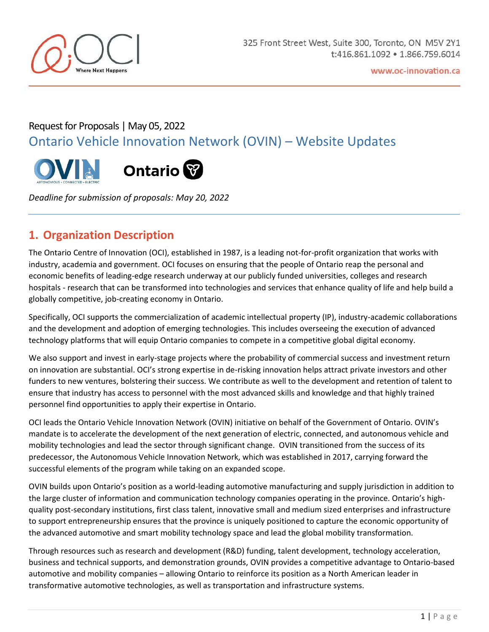

# Request for Proposals | May 05, 2022 Ontario Vehicle Innovation Network (OVIN) – Website Updates





*Deadline for submission of proposals: May 20, 2022*

#### **1. Organization Description**

The Ontario Centre of Innovation (OCI), established in 1987, is a leading not-for-profit organization that works with industry, academia and government. OCI focuses on ensuring that the people of Ontario reap the personal and economic benefits of leading-edge research underway at our publicly funded universities, colleges and research hospitals - research that can be transformed into technologies and services that enhance quality of life and help build a globally competitive, job-creating economy in Ontario.

Specifically, OCI supports the commercialization of academic intellectual property (IP), industry-academic collaborations and the development and adoption of emerging technologies. This includes overseeing the execution of advanced technology platforms that will equip Ontario companies to compete in a competitive global digital economy.

We also support and invest in early-stage projects where the probability of commercial success and investment return on innovation are substantial. OCI's strong expertise in de-risking innovation helps attract private investors and other funders to new ventures, bolstering their success. We contribute as well to the development and retention of talent to ensure that industry has access to personnel with the most advanced skills and knowledge and that highly trained personnel find opportunities to apply their expertise in Ontario.

OCI leads the Ontario Vehicle Innovation Network (OVIN) initiative on behalf of the Government of Ontario. OVIN's mandate is to accelerate the development of the next generation of electric, connected, and autonomous vehicle and mobility technologies and lead the sector through significant change. OVIN transitioned from the success of its predecessor, the Autonomous Vehicle Innovation Network, which was established in 2017, carrying forward the successful elements of the program while taking on an expanded scope.

OVIN builds upon Ontario's position as a world-leading automotive manufacturing and supply jurisdiction in addition to the large cluster of information and communication technology companies operating in the province. Ontario's highquality post-secondary institutions, first class talent, innovative small and medium sized enterprises and infrastructure to support entrepreneurship ensures that the province is uniquely positioned to capture the economic opportunity of the advanced automotive and smart mobility technology space and lead the global mobility transformation.

Through resources such as research and development (R&D) funding, talent development, technology acceleration, business and technical supports, and demonstration grounds, OVIN provides a competitive advantage to Ontario-based automotive and mobility companies – allowing Ontario to reinforce its position as a North American leader in transformative automotive technologies, as well as transportation and infrastructure systems.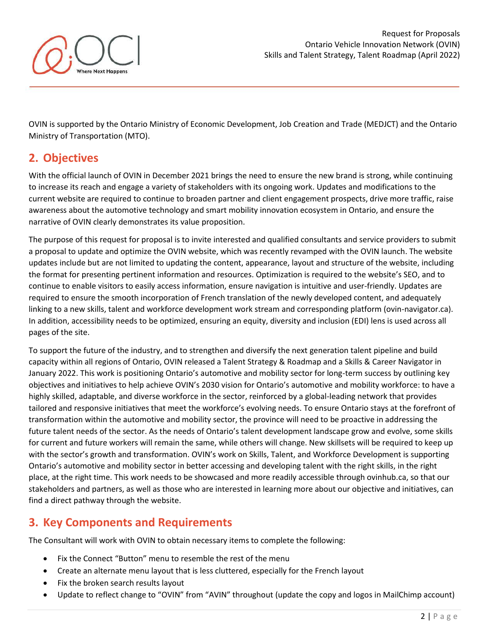

OVIN is supported by the Ontario Ministry of Economic Development, Job Creation and Trade (MEDJCT) and the Ontario Ministry of Transportation (MTO).

## **2. Objectives**

With the official launch of OVIN in December 2021 brings the need to ensure the new brand is strong, while continuing to increase its reach and engage a variety of stakeholders with its ongoing work. Updates and modifications to the current website are required to continue to broaden partner and client engagement prospects, drive more traffic, raise awareness about the automotive technology and smart mobility innovation ecosystem in Ontario, and ensure the narrative of OVIN clearly demonstrates its value proposition.

The purpose of this request for proposal is to invite interested and qualified consultants and service providers to submit a proposal to update and optimize the OVIN website, which was recently revamped with the OVIN launch. The website updates include but are not limited to updating the content, appearance, layout and structure of the website, including the format for presenting pertinent information and resources. Optimization is required to the website's SEO, and to continue to enable visitors to easily access information, ensure navigation is intuitive and user-friendly. Updates are required to ensure the smooth incorporation of French translation of the newly developed content, and adequately linking to a new skills, talent and workforce development work stream and corresponding platform (ovin-navigator.ca). In addition, accessibility needs to be optimized, ensuring an equity, diversity and inclusion (EDI) lens is used across all pages of the site.

To support the future of the industry, and to strengthen and diversify the next generation talent pipeline and build capacity within all regions of Ontario, OVIN released a Talent Strategy & Roadmap and a Skills & Career Navigator in January 2022. This work is positioning Ontario's automotive and mobility sector for long-term success by outlining key objectives and initiatives to help achieve OVIN's 2030 vision for Ontario's automotive and mobility workforce: to have a highly skilled, adaptable, and diverse workforce in the sector, reinforced by a global-leading network that provides tailored and responsive initiatives that meet the workforce's evolving needs. To ensure Ontario stays at the forefront of transformation within the automotive and mobility sector, the province will need to be proactive in addressing the future talent needs of the sector. As the needs of Ontario's talent development landscape grow and evolve, some skills for current and future workers will remain the same, while others will change. New skillsets will be required to keep up with the sector's growth and transformation. OVIN's work on Skills, Talent, and Workforce Development is supporting Ontario's automotive and mobility sector in better accessing and developing talent with the right skills, in the right place, at the right time. This work needs to be showcased and more readily accessible through ovinhub.ca, so that our stakeholders and partners, as well as those who are interested in learning more about our objective and initiatives, can find a direct pathway through the website.

## **3. Key Components and Requirements**

The Consultant will work with OVIN to obtain necessary items to complete the following:

- Fix the Connect "Button" menu to resemble the rest of the menu
- Create an alternate menu layout that is less cluttered, especially for the French layout
- Fix the broken search results layout
- Update to reflect change to "OVIN" from "AVIN" throughout (update the copy and logos in MailChimp account)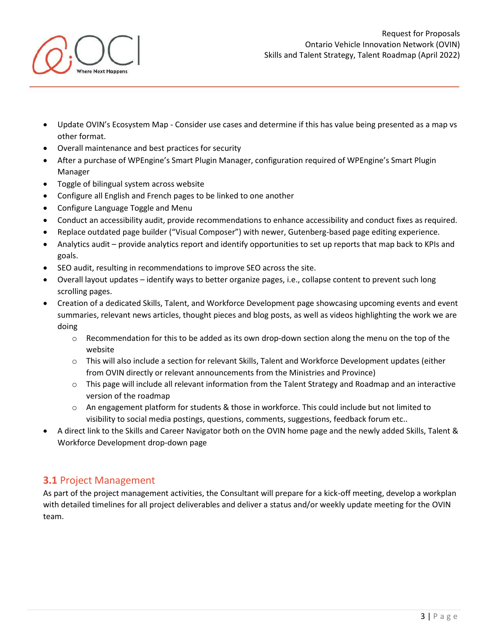

- Update OVIN's Ecosystem Map Consider use cases and determine if this has value being presented as a map vs other format.
- Overall maintenance and best practices for security
- After a purchase of WPEngine's Smart Plugin Manager, configuration required of WPEngine's Smart Plugin Manager
- Toggle of bilingual system across website
- Configure all English and French pages to be linked to one another
- Configure Language Toggle and Menu

here Nevt Hannens

- Conduct an accessibility audit, provide recommendations to enhance accessibility and conduct fixes as required.
- Replace outdated page builder ("Visual Composer") with newer, Gutenberg-based page editing experience.
- Analytics audit provide analytics report and identify opportunities to set up reports that map back to KPIs and goals.
- SEO audit, resulting in recommendations to improve SEO across the site.
- Overall layout updates identify ways to better organize pages, i.e., collapse content to prevent such long scrolling pages.
- Creation of a dedicated Skills, Talent, and Workforce Development page showcasing upcoming events and event summaries, relevant news articles, thought pieces and blog posts, as well as videos highlighting the work we are doing
	- $\circ$  Recommendation for this to be added as its own drop-down section along the menu on the top of the website
	- $\circ$  This will also include a section for relevant Skills, Talent and Workforce Development updates (either from OVIN directly or relevant announcements from the Ministries and Province)
	- o This page will include all relevant information from the Talent Strategy and Roadmap and an interactive version of the roadmap
	- o An engagement platform for students & those in workforce. This could include but not limited to visibility to social media postings, questions, comments, suggestions, feedback forum etc..
- A direct link to the Skills and Career Navigator both on the OVIN home page and the newly added Skills, Talent & Workforce Development drop-down page

#### **3.1** Project Management

As part of the project management activities, the Consultant will prepare for a kick-off meeting, develop a workplan with detailed timelines for all project deliverables and deliver a status and/or weekly update meeting for the OVIN team.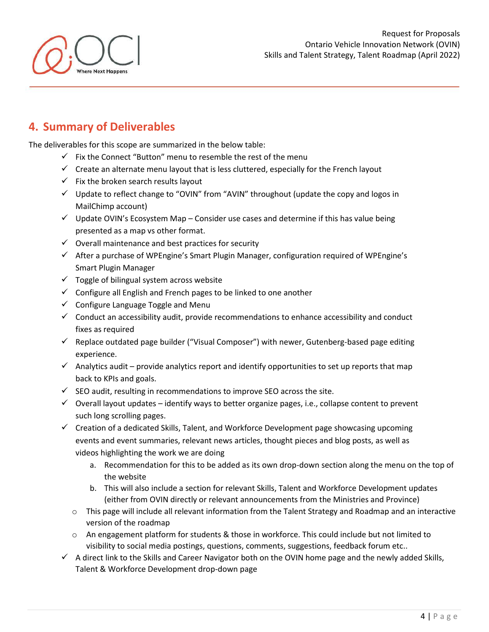#### **4. Summary of Deliverables**

The deliverables for this scope are summarized in the below table:

- $\checkmark$  Fix the Connect "Button" menu to resemble the rest of the menu
- $\checkmark$  Create an alternate menu layout that is less cluttered, especially for the French layout
- $\checkmark$  Fix the broken search results layout
- ✓ Update to reflect change to "OVIN" from "AVIN" throughout (update the copy and logos in MailChimp account)
- $\checkmark$  Update OVIN's Ecosystem Map Consider use cases and determine if this has value being presented as a map vs other format.
- $\checkmark$  Overall maintenance and best practices for security
- $\checkmark$  After a purchase of WPEngine's Smart Plugin Manager, configuration required of WPEngine's Smart Plugin Manager
- $\checkmark$  Toggle of bilingual system across website
- $\checkmark$  Configure all English and French pages to be linked to one another
- $\checkmark$  Configure Language Toggle and Menu
- $\checkmark$  Conduct an accessibility audit, provide recommendations to enhance accessibility and conduct fixes as required
- $\checkmark$  Replace outdated page builder ("Visual Composer") with newer, Gutenberg-based page editing experience.
- $\checkmark$  Analytics audit provide analytics report and identify opportunities to set up reports that map back to KPIs and goals.
- $\checkmark$  SEO audit, resulting in recommendations to improve SEO across the site.
- $\checkmark$  Overall layout updates identify ways to better organize pages, i.e., collapse content to prevent such long scrolling pages.
- $\checkmark$  Creation of a dedicated Skills, Talent, and Workforce Development page showcasing upcoming events and event summaries, relevant news articles, thought pieces and blog posts, as well as videos highlighting the work we are doing
	- a. Recommendation for this to be added as its own drop-down section along the menu on the top of the website
	- b. This will also include a section for relevant Skills, Talent and Workforce Development updates (either from OVIN directly or relevant announcements from the Ministries and Province)
	- o This page will include all relevant information from the Talent Strategy and Roadmap and an interactive version of the roadmap
	- $\circ$  An engagement platform for students & those in workforce. This could include but not limited to visibility to social media postings, questions, comments, suggestions, feedback forum etc..
- $\checkmark$  A direct link to the Skills and Career Navigator both on the OVIN home page and the newly added Skills, Talent & Workforce Development drop-down page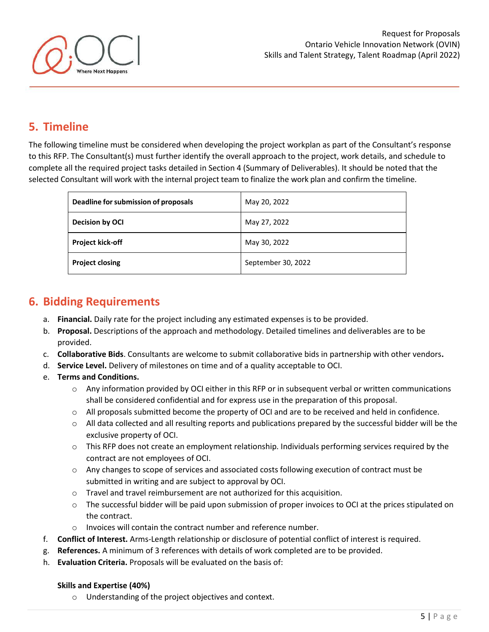

### **5. Timeline**

The following timeline must be considered when developing the project workplan as part of the Consultant's response to this RFP. The Consultant(s) must further identify the overall approach to the project, work details, and schedule to complete all the required project tasks detailed in Section 4 (Summary of Deliverables). It should be noted that the selected Consultant will work with the internal project team to finalize the work plan and confirm the timeline.

| Deadline for submission of proposals | May 20, 2022       |
|--------------------------------------|--------------------|
| <b>Decision by OCI</b>               | May 27, 2022       |
| <b>Project kick-off</b>              | May 30, 2022       |
| <b>Project closing</b>               | September 30, 2022 |

## **6. Bidding Requirements**

- a. **Financial.** Daily rate for the project including any estimated expenses is to be provided.
- b. **Proposal.** Descriptions of the approach and methodology. Detailed timelines and deliverables are to be provided.
- c. **Collaborative Bids**. Consultants are welcome to submit collaborative bids in partnership with other vendors**.**
- d. **Service Level.** Delivery of milestones on time and of a quality acceptable to OCI.
- e. **Terms and Conditions.**
	- $\circ$  Any information provided by OCI either in this RFP or in subsequent verbal or written communications shall be considered confidential and for express use in the preparation of this proposal.
	- o All proposals submitted become the property of OCI and are to be received and held in confidence.
	- $\circ$  All data collected and all resulting reports and publications prepared by the successful bidder will be the exclusive property of OCI.
	- o This RFP does not create an employment relationship. Individuals performing services required by the contract are not employees of OCI.
	- o Any changes to scope of services and associated costs following execution of contract must be submitted in writing and are subject to approval by OCI.
	- o Travel and travel reimbursement are not authorized for this acquisition.
	- o The successful bidder will be paid upon submission of proper invoices to OCI at the prices stipulated on the contract.
	- o Invoices will contain the contract number and reference number.
- f. **Conflict of Interest.** Arms-Length relationship or disclosure of potential conflict of interest is required.
- g. **References.** A minimum of 3 references with details of work completed are to be provided.
- h. **Evaluation Criteria.** Proposals will be evaluated on the basis of:

#### **Skills and Expertise (40%)**

o Understanding of the project objectives and context.